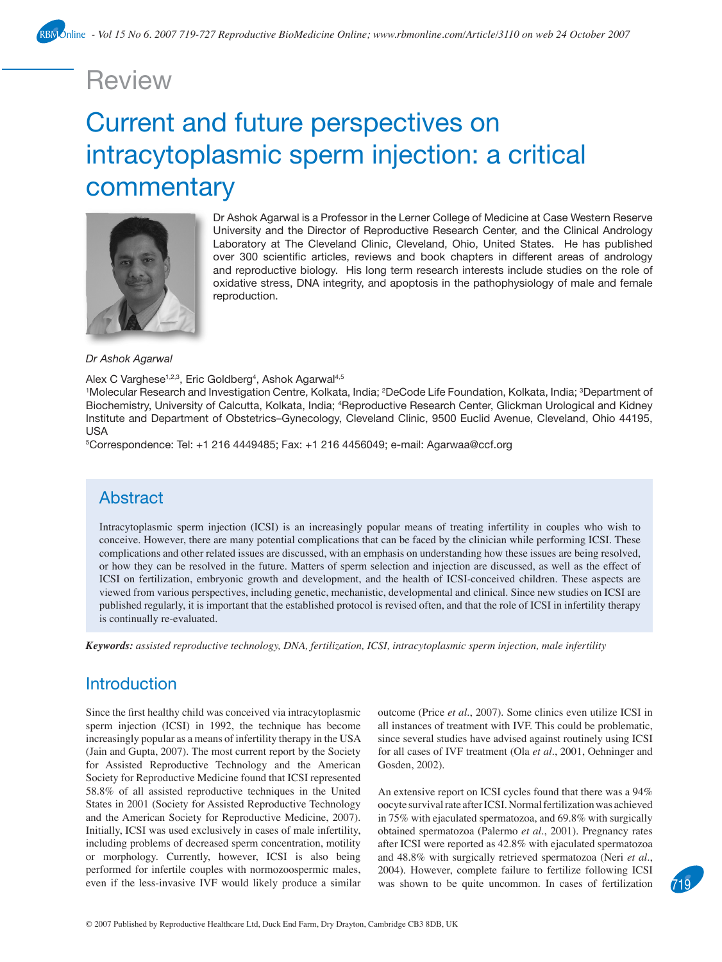## **Review**

# Current and future perspectives on intracytoplasmic sperm injection: a critical commentary



Dr Ashok Agarwal is a Professor in the Lerner College of Medicine at Case Western Reserve University and the Director of Reproductive Research Center, and the Clinical Andrology Laboratory at The Cleveland Clinic, Cleveland, Ohio, United States. He has published over 300 scientific articles, reviews and book chapters in different areas of andrology and reproductive biology. His long term research interests include studies on the role of oxidative stress, DNA integrity, and apoptosis in the pathophysiology of male and female reproduction.

*Dr Ashok Agarwal*

Alex C Varghese<sup>1,2,3</sup>, Eric Goldberg<sup>4</sup>, Ashok Agarwal<sup>4,5</sup>

<sup>1</sup>Molecular Research and Investigation Centre, Kolkata, India; <sup>2</sup>DeCode Life Foundation, Kolkata, India; <sup>3</sup>Department of Biochemistry, University of Calcutta, Kolkata, India; 4 Reproductive Research Center, Glickman Urological and Kidney Institute and Department of Obstetrics–Gynecology, Cleveland Clinic, 9500 Euclid Avenue, Cleveland, Ohio 44195, USA

5 Correspondence: Tel: +1 216 4449485; Fax: +1 216 4456049; e-mail: Agarwaa@ccf.org

## Abstract

Intracytoplasmic sperm injection (ICSI) is an increasingly popular means of treating infertility in couples who wish to conceive. However, there are many potential complications that can be faced by the clinician while performing ICSI. These complications and other related issues are discussed, with an emphasis on understanding how these issues are being resolved, or how they can be resolved in the future. Matters of sperm selection and injection are discussed, as well as the effect of ICSI on fertilization, embryonic growth and development, and the health of ICSI-conceived children. These aspects are viewed from various perspectives, including genetic, mechanistic, developmental and clinical. Since new studies on ICSI are published regularly, it is important that the established protocol is revised often, and that the role of ICSI in infertility therapy is continually re-evaluated.

*Keywords: assisted reproductive technology, DNA, fertilization, ICSI, intracytoplasmic sperm injection, male infertility*

## **Introduction**

Since the first healthy child was conceived via intracytoplasmic sperm injection (ICSI) in 1992, the technique has become increasingly popular as a means of infertility therapy in the USA (Jain and Gupta, 2007). The most current report by the Society for Assisted Reproductive Technology and the American Society for Reproductive Medicine found that ICSI represented 58.8% of all assisted reproductive techniques in the United States in 2001 (Society for Assisted Reproductive Technology and the American Society for Reproductive Medicine, 2007). Initially, ICSI was used exclusively in cases of male infertility, including problems of decreased sperm concentration, motility or morphology. Currently, however, ICSI is also being performed for infertile couples with normozoospermic males, even if the less-invasive IVF would likely produce a similar

outcome (Price *et al.*, 2007). Some clinics even utilize ICSI in all instances of treatment with IVF. This could be problematic, since several studies have advised against routinely using ICSI for all cases of IVF treatment (Ola *et al.*, 2001, Oehninger and Gosden, 2002).

An extensive report on ICSI cycles found that there was a 94% oocyte survival rate after ICSI. Normal fertilization was achieved in 75% with ejaculated spermatozoa, and 69.8% with surgically obtained spermatozoa (Palermo *et al.*, 2001). Pregnancy rates after ICSI were reported as 42.8% with ejaculated spermatozoa and 48.8% with surgically retrieved spermatozoa (Neri *et al.*, 2004). However, complete failure to fertilize following ICSI was shown to be quite uncommon. In cases of fertilization

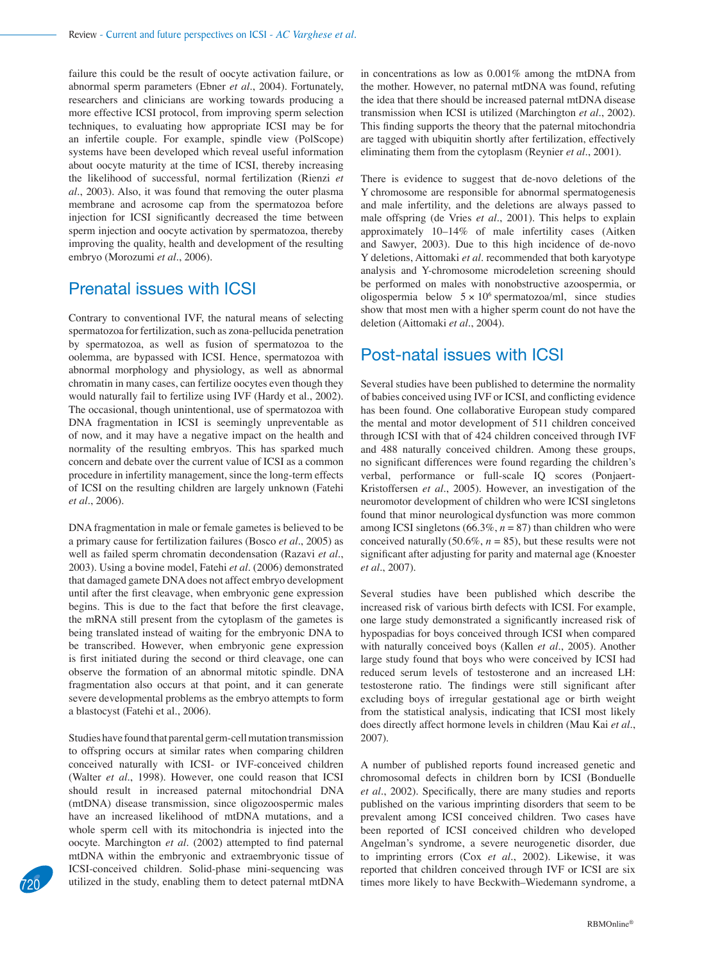failure this could be the result of oocyte activation failure, or abnormal sperm parameters (Ebner *et al.*, 2004). Fortunately, researchers and clinicians are working towards producing a more effective ICSI protocol, from improving sperm selection techniques, to evaluating how appropriate ICSI may be for an infertile couple. For example, spindle view (PolScope) systems have been developed which reveal useful information about oocyte maturity at the time of ICSI, thereby increasing the likelihood of successful, normal fertilization (Rienzi *et al.*, 2003). Also, it was found that removing the outer plasma membrane and acrosome cap from the spermatozoa before injection for ICSI significantly decreased the time between sperm injection and oocyte activation by spermatozoa, thereby improving the quality, health and development of the resulting embryo (Morozumi *et al.*, 2006).

## Prenatal issues with ICSI

Contrary to conventional IVF, the natural means of selecting spermatozoa for fertilization, such as zona-pellucida penetration by spermatozoa, as well as fusion of spermatozoa to the oolemma, are bypassed with ICSI. Hence, spermatozoa with abnormal morphology and physiology, as well as abnormal chromatin in many cases, can fertilize oocytes even though they would naturally fail to fertilize using IVF (Hardy et al., 2002). The occasional, though unintentional, use of spermatozoa with DNA fragmentation in ICSI is seemingly unpreventable as of now, and it may have a negative impact on the health and normality of the resulting embryos. This has sparked much concern and debate over the current value of ICSI as a common procedure in infertility management, since the long-term effects of ICSI on the resulting children are largely unknown (Fatehi *et al.*, 2006).

DNA fragmentation in male or female gametes is believed to be a primary cause for fertilization failures (Bosco *et al.*, 2005) as well as failed sperm chromatin decondensation (Razavi *et al.*, 2003). Using a bovine model, Fatehi *et al*. (2006) demonstrated that damaged gamete DNA does not affect embryo development until after the first cleavage, when embryonic gene expression begins. This is due to the fact that before the first cleavage, the mRNA still present from the cytoplasm of the gametes is being translated instead of waiting for the embryonic DNA to be transcribed. However, when embryonic gene expression is first initiated during the second or third cleavage, one can observe the formation of an abnormal mitotic spindle. DNA fragmentation also occurs at that point, and it can generate severe developmental problems as the embryo attempts to form a blastocyst (Fatehi et al., 2006).

Studies have found that parental germ-cell mutation transmission to offspring occurs at similar rates when comparing children conceived naturally with ICSI- or IVF-conceived children (Walter *et al.*, 1998). However, one could reason that ICSI should result in increased paternal mitochondrial DNA (mtDNA) disease transmission, since oligozoospermic males have an increased likelihood of mtDNA mutations, and a whole sperm cell with its mitochondria is injected into the oocyte. Marchington *et al.* (2002) attempted to find paternal mtDNA within the embryonic and extraembryonic tissue of ICSI-conceived children. Solid-phase mini-sequencing was utilized in the study, enabling them to detect paternal mtDNA in concentrations as low as 0.001% among the mtDNA from the mother. However, no paternal mtDNA was found, refuting the idea that there should be increased paternal mtDNA disease transmission when ICSI is utilized (Marchington *et al.*, 2002). This finding supports the theory that the paternal mitochondria are tagged with ubiquitin shortly after fertilization, effectively eliminating them from the cytoplasm (Reynier *et al.*, 2001).

There is evidence to suggest that de-novo deletions of the Y chromosome are responsible for abnormal spermatogenesis and male infertility, and the deletions are always passed to male offspring (de Vries *et al.*, 2001). This helps to explain approximately 10–14% of male infertility cases (Aitken and Sawyer, 2003). Due to this high incidence of de-novo Y deletions, Aittomaki *et al.* recommended that both karyotype analysis and Y-chromosome microdeletion screening should be performed on males with nonobstructive azoospermia, or oligospermia below  $5 \times 10^6$  spermatozoa/ml, since studies show that most men with a higher sperm count do not have the deletion (Aittomaki *et al.*, 2004).

## Post-natal issues with ICSI

Several studies have been published to determine the normality of babies conceived using IVF or ICSI, and conflicting evidence has been found. One collaborative European study compared the mental and motor development of 511 children conceived through ICSI with that of 424 children conceived through IVF and 488 naturally conceived children. Among these groups, no significant differences were found regarding the children's verbal, performance or full-scale IQ scores (Ponjaert-Kristoffersen *et al.*, 2005). However, an investigation of the neuromotor development of children who were ICSI singletons found that minor neurological dysfunction was more common among ICSI singletons  $(66.3\%, n = 87)$  than children who were conceived naturally (50.6%,  $n = 85$ ), but these results were not significant after adjusting for parity and maternal age (Knoester *et al.*, 2007).

Several studies have been published which describe the increased risk of various birth defects with ICSI. For example, one large study demonstrated a significantly increased risk of hypospadias for boys conceived through ICSI when compared with naturally conceived boys (Kallen *et al.*, 2005). Another large study found that boys who were conceived by ICSI had reduced serum levels of testosterone and an increased LH: testosterone ratio. The findings were still significant after excluding boys of irregular gestational age or birth weight from the statistical analysis, indicating that ICSI most likely does directly affect hormone levels in children (Mau Kai *et al.*, 2007).

A number of published reports found increased genetic and chromosomal defects in children born by ICSI (Bonduelle *et al.*, 2002). Specifically, there are many studies and reports published on the various imprinting disorders that seem to be prevalent among ICSI conceived children. Two cases have been reported of ICSI conceived children who developed Angelman's syndrome, a severe neurogenetic disorder, due to imprinting errors (Cox *et al.*, 2002). Likewise, it was reported that children conceived through IVF or ICSI are six times more likely to have Beckwith–Wiedemann syndrome, a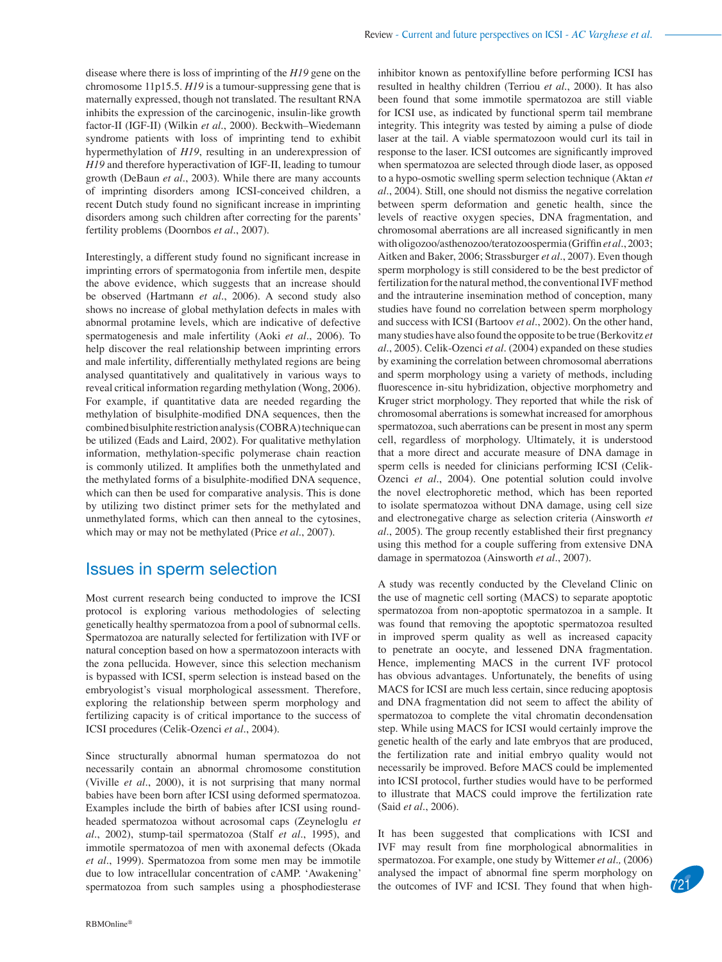disease where there is loss of imprinting of the *H19* gene on the chromosome 11p15.5. *H19* is a tumour-suppressing gene that is maternally expressed, though not translated. The resultant RNA inhibits the expression of the carcinogenic, insulin-like growth factor-II (IGF-II) (Wilkin *et al.*, 2000). Beckwith–Wiedemann syndrome patients with loss of imprinting tend to exhibit hypermethylation of *H19*, resulting in an underexpression of *H19* and therefore hyperactivation of IGF-II, leading to tumour growth (DeBaun *et al.*, 2003). While there are many accounts of imprinting disorders among ICSI-conceived children, a recent Dutch study found no significant increase in imprinting disorders among such children after correcting for the parents' fertility problems (Doornbos *et al.*, 2007).

Interestingly, a different study found no significant increase in imprinting errors of spermatogonia from infertile men, despite the above evidence, which suggests that an increase should be observed (Hartmann *et al.*, 2006). A second study also shows no increase of global methylation defects in males with abnormal protamine levels, which are indicative of defective spermatogenesis and male infertility (Aoki *et al.*, 2006). To help discover the real relationship between imprinting errors and male infertility, differentially methylated regions are being analysed quantitatively and qualitatively in various ways to reveal critical information regarding methylation (Wong, 2006). For example, if quantitative data are needed regarding the methylation of bisulphite-modified DNA sequences, then the combined bisulphite restriction analysis (COBRA) technique can be utilized (Eads and Laird, 2002). For qualitative methylation information, methylation-specific polymerase chain reaction is commonly utilized. It amplifies both the unmethylated and the methylated forms of a bisulphite-modified DNA sequence, which can then be used for comparative analysis. This is done by utilizing two distinct primer sets for the methylated and unmethylated forms, which can then anneal to the cytosines, which may or may not be methylated (Price *et al.*, 2007).

#### Issues in sperm selection

Most current research being conducted to improve the ICSI protocol is exploring various methodologies of selecting genetically healthy spermatozoa from a pool of subnormal cells. Spermatozoa are naturally selected for fertilization with IVF or natural conception based on how a spermatozoon interacts with the zona pellucida. However, since this selection mechanism is bypassed with ICSI, sperm selection is instead based on the embryologist's visual morphological assessment. Therefore, exploring the relationship between sperm morphology and fertilizing capacity is of critical importance to the success of ICSI procedures (Celik-Ozenci *et al.*, 2004).

Since structurally abnormal human spermatozoa do not necessarily contain an abnormal chromosome constitution (Viville *et al.*, 2000), it is not surprising that many normal babies have been born after ICSI using deformed spermatozoa. Examples include the birth of babies after ICSI using roundheaded spermatozoa without acrosomal caps (Zeyneloglu *et al.*, 2002), stump-tail spermatozoa (Stalf *et al.*, 1995), and immotile spermatozoa of men with axonemal defects (Okada *et al.*, 1999). Spermatozoa from some men may be immotile due to low intracellular concentration of cAMP. 'Awakening' spermatozoa from such samples using a phosphodiesterase inhibitor known as pentoxifylline before performing ICSI has resulted in healthy children (Terriou *et al.*, 2000). It has also been found that some immotile spermatozoa are still viable for ICSI use, as indicated by functional sperm tail membrane integrity. This integrity was tested by aiming a pulse of diode laser at the tail. A viable spermatozoon would curl its tail in response to the laser. ICSI outcomes are significantly improved when spermatozoa are selected through diode laser, as opposed to a hypo-osmotic swelling sperm selection technique (Aktan *et al.*, 2004). Still, one should not dismiss the negative correlation between sperm deformation and genetic health, since the levels of reactive oxygen species, DNA fragmentation, and chromosomal aberrations are all increased significantly in men with oligozoo/asthenozoo/teratozoospermia (Griffin *et al.*, 2003; Aitken and Baker, 2006; Strassburger *et al.*, 2007). Even though sperm morphology is still considered to be the best predictor of fertilization for the natural method, the conventional IVF method and the intrauterine insemination method of conception, many studies have found no correlation between sperm morphology and success with ICSI (Bartoov *et al.*, 2002). On the other hand, many studies have also found the opposite to be true (Berkovitz *et al.*, 2005). Celik-Ozenci *et al.* (2004) expanded on these studies by examining the correlation between chromosomal aberrations and sperm morphology using a variety of methods, including fluorescence in-situ hybridization, objective morphometry and Kruger strict morphology. They reported that while the risk of chromosomal aberrations is somewhat increased for amorphous spermatozoa, such aberrations can be present in most any sperm cell, regardless of morphology. Ultimately, it is understood that a more direct and accurate measure of DNA damage in sperm cells is needed for clinicians performing ICSI (Celik-Ozenci *et al.*, 2004). One potential solution could involve the novel electrophoretic method, which has been reported to isolate spermatozoa without DNA damage, using cell size and electronegative charge as selection criteria (Ainsworth *et al.*, 2005). The group recently established their first pregnancy using this method for a couple suffering from extensive DNA damage in spermatozoa (Ainsworth *et al.*, 2007).

A study was recently conducted by the Cleveland Clinic on the use of magnetic cell sorting (MACS) to separate apoptotic spermatozoa from non-apoptotic spermatozoa in a sample. It was found that removing the apoptotic spermatozoa resulted in improved sperm quality as well as increased capacity to penetrate an oocyte, and lessened DNA fragmentation. Hence, implementing MACS in the current IVF protocol has obvious advantages. Unfortunately, the benefits of using MACS for ICSI are much less certain, since reducing apoptosis and DNA fragmentation did not seem to affect the ability of spermatozoa to complete the vital chromatin decondensation step. While using MACS for ICSI would certainly improve the genetic health of the early and late embryos that are produced, the fertilization rate and initial embryo quality would not necessarily be improved. Before MACS could be implemented into ICSI protocol, further studies would have to be performed to illustrate that MACS could improve the fertilization rate (Said *et al.*, 2006).

It has been suggested that complications with ICSI and IVF may result from fine morphological abnormalities in spermatozoa. For example, one study by Wittemer *et al.,* (2006) analysed the impact of abnormal fine sperm morphology on the outcomes of IVF and ICSI. They found that when high-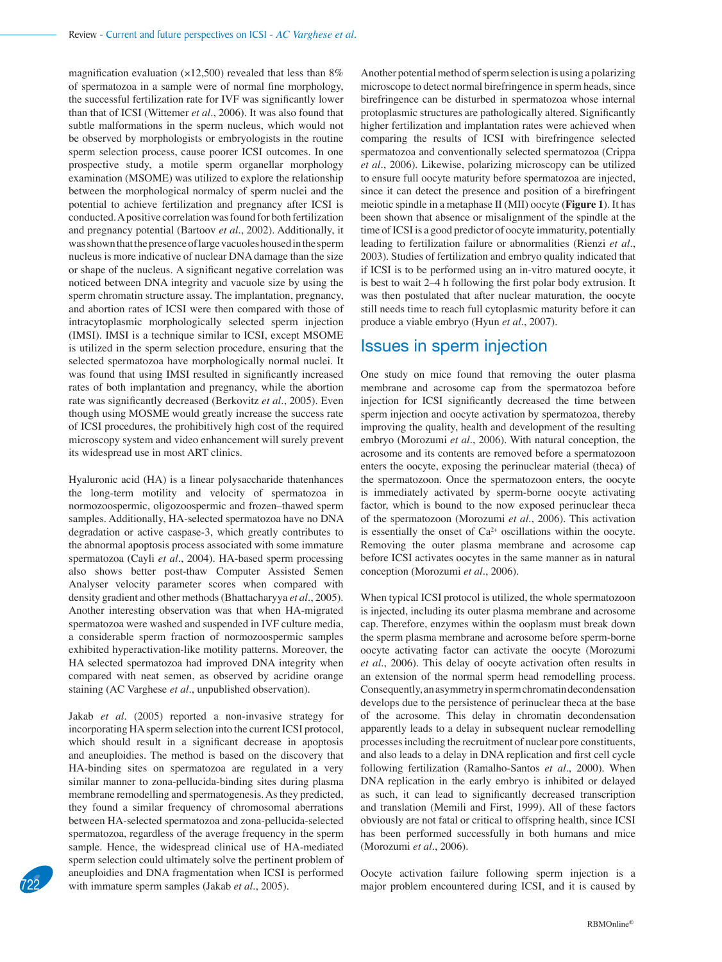magnification evaluation  $(x12,500)$  revealed that less than 8% of spermatozoa in a sample were of normal fine morphology, the successful fertilization rate for IVF was significantly lower than that of ICSI (Wittemer *et al.*, 2006). It was also found that subtle malformations in the sperm nucleus, which would not be observed by morphologists or embryologists in the routine sperm selection process, cause poorer ICSI outcomes. In one prospective study, a motile sperm organellar morphology examination (MSOME) was utilized to explore the relationship between the morphological normalcy of sperm nuclei and the potential to achieve fertilization and pregnancy after ICSI is conducted. A positive correlation was found for both fertilization and pregnancy potential (Bartoov *et al.*, 2002). Additionally, it was shown that the presence of large vacuoles housed in the sperm nucleus is more indicative of nuclear DNA damage than the size or shape of the nucleus. A significant negative correlation was noticed between DNA integrity and vacuole size by using the sperm chromatin structure assay. The implantation, pregnancy, and abortion rates of ICSI were then compared with those of intracytoplasmic morphologically selected sperm injection (IMSI). IMSI is a technique similar to ICSI, except MSOME is utilized in the sperm selection procedure, ensuring that the selected spermatozoa have morphologically normal nuclei. It was found that using IMSI resulted in significantly increased rates of both implantation and pregnancy, while the abortion rate was significantly decreased (Berkovitz *et al.*, 2005). Even though using MOSME would greatly increase the success rate of ICSI procedures, the prohibitively high cost of the required microscopy system and video enhancement will surely prevent its widespread use in most ART clinics.

Hyaluronic acid (HA) is a linear polysaccharide thatenhances the long-term motility and velocity of spermatozoa in normozoospermic, oligozoospermic and frozen–thawed sperm samples. Additionally, HA-selected spermatozoa have no DNA degradation or active caspase-3, which greatly contributes to the abnormal apoptosis process associated with some immature spermatozoa (Cayli *et al.*, 2004). HA-based sperm processing also shows better post-thaw Computer Assisted Semen Analyser velocity parameter scores when compared with density gradient and other methods (Bhattacharyya *et al.*, 2005). Another interesting observation was that when HA-migrated spermatozoa were washed and suspended in IVF culture media, a considerable sperm fraction of normozoospermic samples exhibited hyperactivation-like motility patterns. Moreover, the HA selected spermatozoa had improved DNA integrity when compared with neat semen, as observed by acridine orange staining (AC Varghese *et al*., unpublished observation).

Jakab *et al.* (2005) reported a non-invasive strategy for incorporating HA sperm selection into the current ICSI protocol, which should result in a significant decrease in apoptosis and aneuploidies. The method is based on the discovery that HA-binding sites on spermatozoa are regulated in a very similar manner to zona-pellucida-binding sites during plasma membrane remodelling and spermatogenesis. As they predicted, they found a similar frequency of chromosomal aberrations between HA-selected spermatozoa and zona-pellucida-selected spermatozoa, regardless of the average frequency in the sperm sample. Hence, the widespread clinical use of HA-mediated sperm selection could ultimately solve the pertinent problem of aneuploidies and DNA fragmentation when ICSI is performed with immature sperm samples (Jakab *et al.*, 2005).

Another potential method of sperm selection is using a polarizing microscope to detect normal birefringence in sperm heads, since birefringence can be disturbed in spermatozoa whose internal protoplasmic structures are pathologically altered. Significantly higher fertilization and implantation rates were achieved when comparing the results of ICSI with birefringence selected spermatozoa and conventionally selected spermatozoa (Crippa *et al.*, 2006). Likewise, polarizing microscopy can be utilized to ensure full oocyte maturity before spermatozoa are injected, since it can detect the presence and position of a birefringent meiotic spindle in a metaphase II (MII) oocyte (**Figure 1**). It has been shown that absence or misalignment of the spindle at the time of ICSI is a good predictor of oocyte immaturity, potentially leading to fertilization failure or abnormalities (Rienzi *et al.*, 2003). Studies of fertilization and embryo quality indicated that if ICSI is to be performed using an in-vitro matured oocyte, it is best to wait 2–4 h following the first polar body extrusion. It was then postulated that after nuclear maturation, the oocyte still needs time to reach full cytoplasmic maturity before it can produce a viable embryo (Hyun *et al.*, 2007).

#### Issues in sperm injection

One study on mice found that removing the outer plasma membrane and acrosome cap from the spermatozoa before injection for ICSI significantly decreased the time between sperm injection and oocyte activation by spermatozoa, thereby improving the quality, health and development of the resulting embryo (Morozumi *et al.*, 2006). With natural conception, the acrosome and its contents are removed before a spermatozoon enters the oocyte, exposing the perinuclear material (theca) of the spermatozoon. Once the spermatozoon enters, the oocyte is immediately activated by sperm-borne oocyte activating factor, which is bound to the now exposed perinuclear theca of the spermatozoon (Morozumi *et al.*, 2006). This activation is essentially the onset of  $Ca<sup>2+</sup>$  oscillations within the oocyte. Removing the outer plasma membrane and acrosome cap before ICSI activates oocytes in the same manner as in natural conception (Morozumi *et al.*, 2006).

When typical ICSI protocol is utilized, the whole spermatozoon is injected, including its outer plasma membrane and acrosome cap. Therefore, enzymes within the ooplasm must break down the sperm plasma membrane and acrosome before sperm-borne oocyte activating factor can activate the oocyte (Morozumi *et al.*, 2006). This delay of oocyte activation often results in an extension of the normal sperm head remodelling process. Consequently, an asymmetry in sperm chromatin decondensation develops due to the persistence of perinuclear theca at the base of the acrosome. This delay in chromatin decondensation apparently leads to a delay in subsequent nuclear remodelling processes including the recruitment of nuclear pore constituents, and also leads to a delay in DNA replication and first cell cycle following fertilization (Ramalho-Santos *et al.*, 2000). When DNA replication in the early embryo is inhibited or delayed as such, it can lead to significantly decreased transcription and translation (Memili and First, 1999). All of these factors obviously are not fatal or critical to offspring health, since ICSI has been performed successfully in both humans and mice (Morozumi *et al.*, 2006).

Oocyte activation failure following sperm injection is a major problem encountered during ICSI, and it is caused by

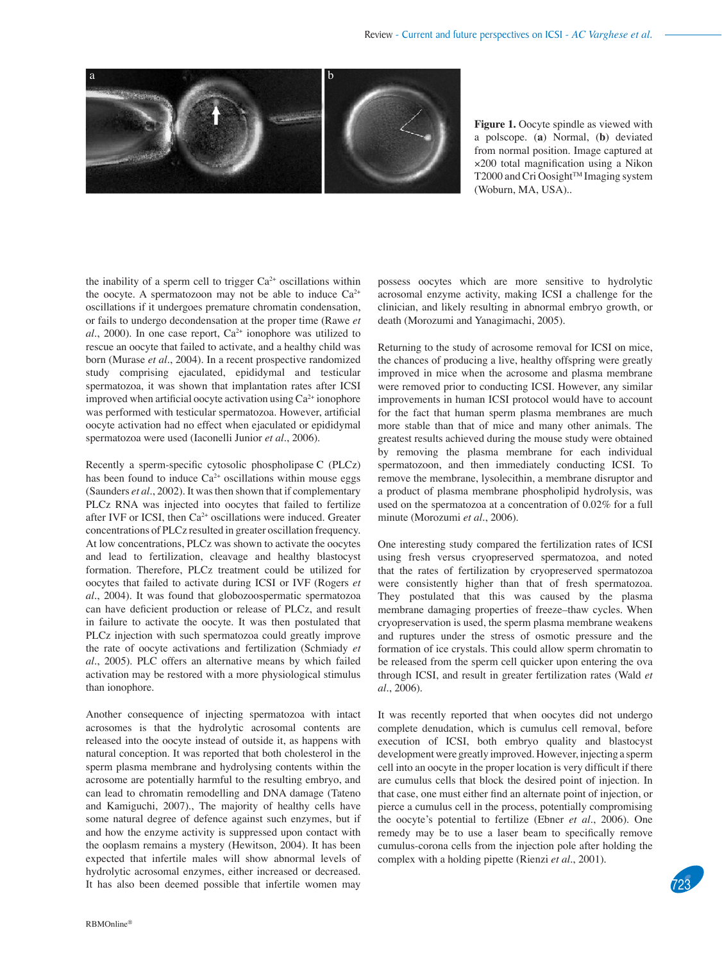

**Figure 1.** Oocyte spindle as viewed with a polscope. (**a**) Normal, (**b**) deviated from normal position. Image captured at ×200 total magnification using a Nikon T2000 and Cri Oosight™ Imaging system (Woburn, MA, USA)..

the inability of a sperm cell to trigger  $Ca<sup>2+</sup>$  oscillations within the oocyte. A spermatozoon may not be able to induce  $Ca^{2+}$ oscillations if it undergoes premature chromatin condensation, or fails to undergo decondensation at the proper time (Rawe *et*   $al.$ , 2000). In one case report,  $Ca^{2+}$  ionophore was utilized to rescue an oocyte that failed to activate, and a healthy child was born (Murase *et al.*, 2004). In a recent prospective randomized study comprising ejaculated, epididymal and testicular spermatozoa, it was shown that implantation rates after ICSI improved when artificial oocyte activation using  $Ca^{2+}$  ionophore was performed with testicular spermatozoa. However, artificial oocyte activation had no effect when ejaculated or epididymal spermatozoa were used (Iaconelli Junior *et al.*, 2006).

Recently a sperm-specific cytosolic phospholipase C (PLCz) has been found to induce  $Ca^{2+}$  oscillations within mouse eggs (Saunders *et al.*, 2002). It was then shown that if complementary PLCz RNA was injected into oocytes that failed to fertilize after IVF or ICSI, then Ca2+ oscillations were induced. Greater concentrations of PLCz resulted in greater oscillation frequency. At low concentrations, PLCz was shown to activate the oocytes and lead to fertilization, cleavage and healthy blastocyst formation. Therefore, PLCz treatment could be utilized for oocytes that failed to activate during ICSI or IVF (Rogers *et al.*, 2004). It was found that globozoospermatic spermatozoa can have deficient production or release of PLCz, and result in failure to activate the oocyte. It was then postulated that PLCz injection with such spermatozoa could greatly improve the rate of oocyte activations and fertilization (Schmiady *et al.*, 2005). PLC offers an alternative means by which failed activation may be restored with a more physiological stimulus than ionophore.

Another consequence of injecting spermatozoa with intact acrosomes is that the hydrolytic acrosomal contents are released into the oocyte instead of outside it, as happens with natural conception. It was reported that both cholesterol in the sperm plasma membrane and hydrolysing contents within the acrosome are potentially harmful to the resulting embryo, and can lead to chromatin remodelling and DNA damage (Tateno and Kamiguchi, 2007)., The majority of healthy cells have some natural degree of defence against such enzymes, but if and how the enzyme activity is suppressed upon contact with the ooplasm remains a mystery (Hewitson, 2004). It has been expected that infertile males will show abnormal levels of hydrolytic acrosomal enzymes, either increased or decreased. It has also been deemed possible that infertile women may

possess oocytes which are more sensitive to hydrolytic acrosomal enzyme activity, making ICSI a challenge for the clinician, and likely resulting in abnormal embryo growth, or death (Morozumi and Yanagimachi, 2005).

Returning to the study of acrosome removal for ICSI on mice, the chances of producing a live, healthy offspring were greatly improved in mice when the acrosome and plasma membrane were removed prior to conducting ICSI. However, any similar improvements in human ICSI protocol would have to account for the fact that human sperm plasma membranes are much more stable than that of mice and many other animals. The greatest results achieved during the mouse study were obtained by removing the plasma membrane for each individual spermatozoon, and then immediately conducting ICSI. To remove the membrane, lysolecithin, a membrane disruptor and a product of plasma membrane phospholipid hydrolysis, was used on the spermatozoa at a concentration of 0.02% for a full minute (Morozumi *et al.*, 2006).

One interesting study compared the fertilization rates of ICSI using fresh versus cryopreserved spermatozoa, and noted that the rates of fertilization by cryopreserved spermatozoa were consistently higher than that of fresh spermatozoa. They postulated that this was caused by the plasma membrane damaging properties of freeze–thaw cycles. When cryopreservation is used, the sperm plasma membrane weakens and ruptures under the stress of osmotic pressure and the formation of ice crystals. This could allow sperm chromatin to be released from the sperm cell quicker upon entering the ova through ICSI, and result in greater fertilization rates (Wald *et al.*, 2006).

It was recently reported that when oocytes did not undergo complete denudation, which is cumulus cell removal, before execution of ICSI, both embryo quality and blastocyst development were greatly improved. However, injecting a sperm cell into an oocyte in the proper location is very difficult if there are cumulus cells that block the desired point of injection. In that case, one must either find an alternate point of injection, or pierce a cumulus cell in the process, potentially compromising the oocyte's potential to fertilize (Ebner *et al.*, 2006). One remedy may be to use a laser beam to specifically remove cumulus-corona cells from the injection pole after holding the complex with a holding pipette (Rienzi *et al.*, 2001).

723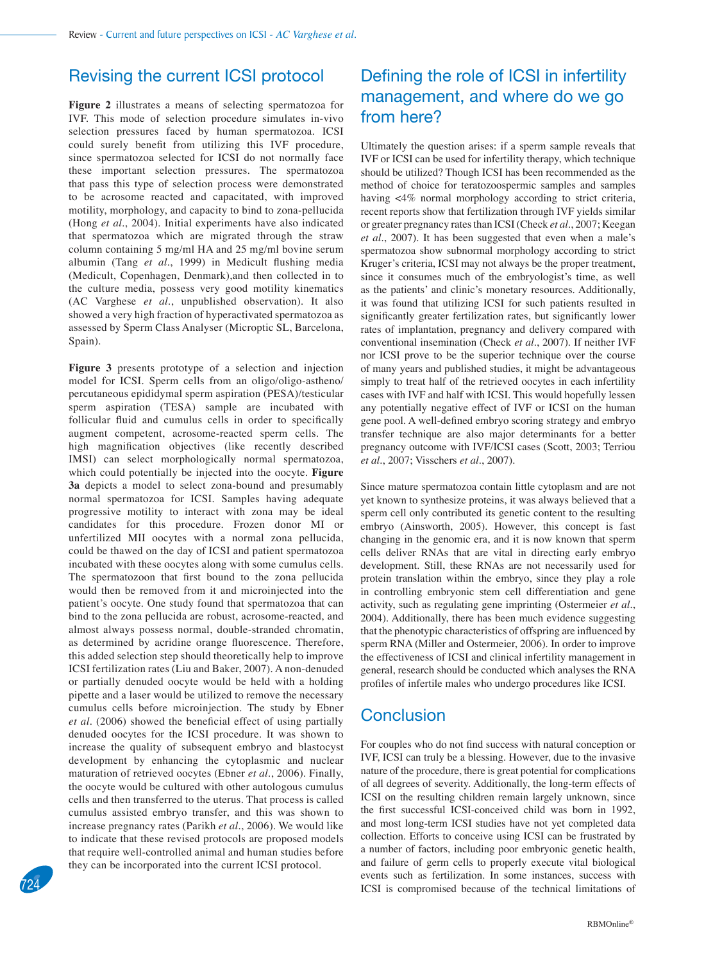## Revising the current ICSI protocol

**Figure 2** illustrates a means of selecting spermatozoa for IVF. This mode of selection procedure simulates in-vivo selection pressures faced by human spermatozoa. ICSI could surely benefit from utilizing this IVF procedure, since spermatozoa selected for ICSI do not normally face these important selection pressures. The spermatozoa that pass this type of selection process were demonstrated to be acrosome reacted and capacitated, with improved motility, morphology, and capacity to bind to zona-pellucida (Hong *et al.*, 2004). Initial experiments have also indicated that spermatozoa which are migrated through the straw column containing 5 mg/ml HA and 25 mg/ml bovine serum albumin (Tang *et al.*, 1999) in Medicult flushing media (Medicult, Copenhagen, Denmark),and then collected in to the culture media, possess very good motility kinematics (AC Varghese *et al*., unpublished observation). It also showed a very high fraction of hyperactivated spermatozoa as assessed by Sperm Class Analyser (Microptic SL, Barcelona, Spain).

**Figure 3** presents prototype of a selection and injection model for ICSI. Sperm cells from an oligo/oligo-astheno/ percutaneous epididymal sperm aspiration (PESA)/testicular sperm aspiration (TESA) sample are incubated with follicular fluid and cumulus cells in order to specifically augment competent, acrosome-reacted sperm cells. The high magnification objectives (like recently described IMSI) can select morphologically normal spermatozoa, which could potentially be injected into the oocyte. **Figure 3a** depicts a model to select zona-bound and presumably normal spermatozoa for ICSI. Samples having adequate progressive motility to interact with zona may be ideal candidates for this procedure. Frozen donor MI or unfertilized MII oocytes with a normal zona pellucida, could be thawed on the day of ICSI and patient spermatozoa incubated with these oocytes along with some cumulus cells. The spermatozoon that first bound to the zona pellucida would then be removed from it and microinjected into the patient's oocyte. One study found that spermatozoa that can bind to the zona pellucida are robust, acrosome-reacted, and almost always possess normal, double-stranded chromatin, as determined by acridine orange fluorescence. Therefore, this added selection step should theoretically help to improve ICSI fertilization rates (Liu and Baker, 2007). A non-denuded or partially denuded oocyte would be held with a holding pipette and a laser would be utilized to remove the necessary cumulus cells before microinjection. The study by Ebner *et al.* (2006) showed the beneficial effect of using partially denuded oocytes for the ICSI procedure. It was shown to increase the quality of subsequent embryo and blastocyst development by enhancing the cytoplasmic and nuclear maturation of retrieved oocytes (Ebner *et al.*, 2006). Finally, the oocyte would be cultured with other autologous cumulus cells and then transferred to the uterus. That process is called cumulus assisted embryo transfer, and this was shown to increase pregnancy rates (Parikh *et al.*, 2006). We would like to indicate that these revised protocols are proposed models that require well-controlled animal and human studies before they can be incorporated into the current ICSI protocol.



## Defining the role of ICSI in infertility management, and where do we go from here?

Ultimately the question arises: if a sperm sample reveals that IVF or ICSI can be used for infertility therapy, which technique should be utilized? Though ICSI has been recommended as the method of choice for teratozoospermic samples and samples having <4% normal morphology according to strict criteria, recent reports show that fertilization through IVF yields similar or greater pregnancy rates than ICSI (Check *et al.*, 2007; Keegan *et al.*, 2007). It has been suggested that even when a male's spermatozoa show subnormal morphology according to strict Kruger's criteria, ICSI may not always be the proper treatment, since it consumes much of the embryologist's time, as well as the patients' and clinic's monetary resources. Additionally, it was found that utilizing ICSI for such patients resulted in significantly greater fertilization rates, but significantly lower rates of implantation, pregnancy and delivery compared with conventional insemination (Check *et al.*, 2007). If neither IVF nor ICSI prove to be the superior technique over the course of many years and published studies, it might be advantageous simply to treat half of the retrieved oocytes in each infertility cases with IVF and half with ICSI. This would hopefully lessen any potentially negative effect of IVF or ICSI on the human gene pool. A well-defined embryo scoring strategy and embryo transfer technique are also major determinants for a better pregnancy outcome with IVF/ICSI cases (Scott, 2003; Terriou *et al.*, 2007; Visschers *et al.*, 2007).

Since mature spermatozoa contain little cytoplasm and are not yet known to synthesize proteins, it was always believed that a sperm cell only contributed its genetic content to the resulting embryo (Ainsworth, 2005). However, this concept is fast changing in the genomic era, and it is now known that sperm cells deliver RNAs that are vital in directing early embryo development. Still, these RNAs are not necessarily used for protein translation within the embryo, since they play a role in controlling embryonic stem cell differentiation and gene activity, such as regulating gene imprinting (Ostermeier *et al.*, 2004). Additionally, there has been much evidence suggesting that the phenotypic characteristics of offspring are influenced by sperm RNA (Miller and Ostermeier, 2006). In order to improve the effectiveness of ICSI and clinical infertility management in general, research should be conducted which analyses the RNA profiles of infertile males who undergo procedures like ICSI.

## **Conclusion**

For couples who do not find success with natural conception or IVF, ICSI can truly be a blessing. However, due to the invasive nature of the procedure, there is great potential for complications of all degrees of severity. Additionally, the long-term effects of ICSI on the resulting children remain largely unknown, since the first successful ICSI-conceived child was born in 1992, and most long-term ICSI studies have not yet completed data collection. Efforts to conceive using ICSI can be frustrated by a number of factors, including poor embryonic genetic health, and failure of germ cells to properly execute vital biological events such as fertilization. In some instances, success with ICSI is compromised because of the technical limitations of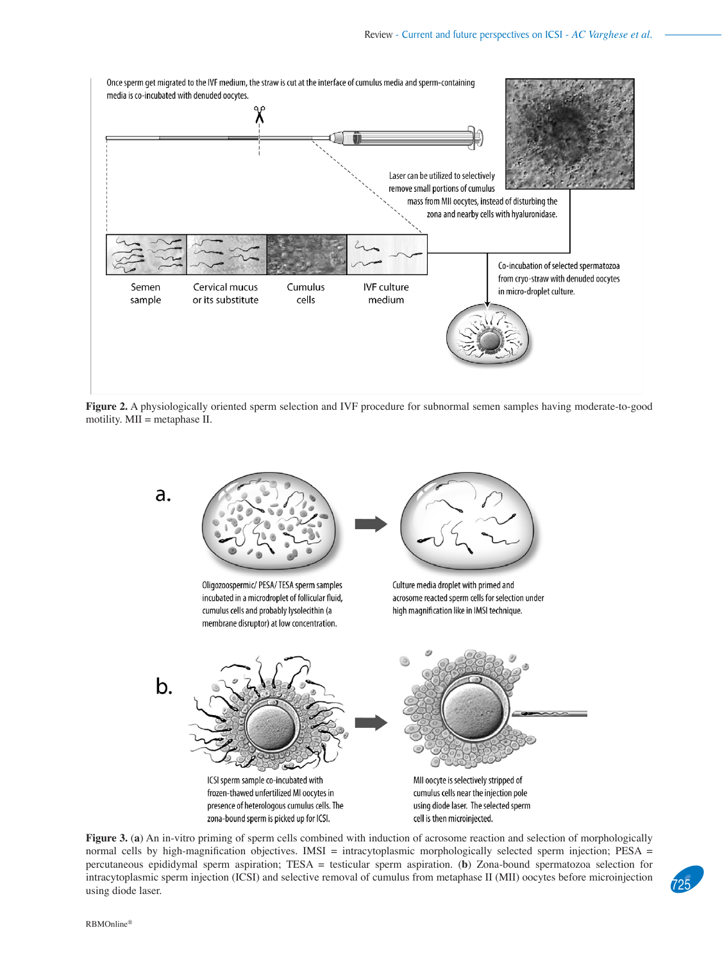

**Figure 2.** A physiologically oriented sperm selection and IVF procedure for subnormal semen samples having moderate-to-good motility. MII = metaphase II.



**Figure 3.** (a) An in-vitro priming of sperm cells combined with induction of acrosome reaction and selection of morphologically normal cells by high-magnification objectives. IMSI = intracytoplasmic morphologically selected sperm injection; PESA = percutaneous epididymal sperm aspiration; TESA = testicular sperm aspiration. (**b**) Zona-bound spermatozoa selection for intracytoplasmic sperm injection (ICSI) and selective removal of cumulus from metaphase II (MII) oocytes before microinjection using diode laser.

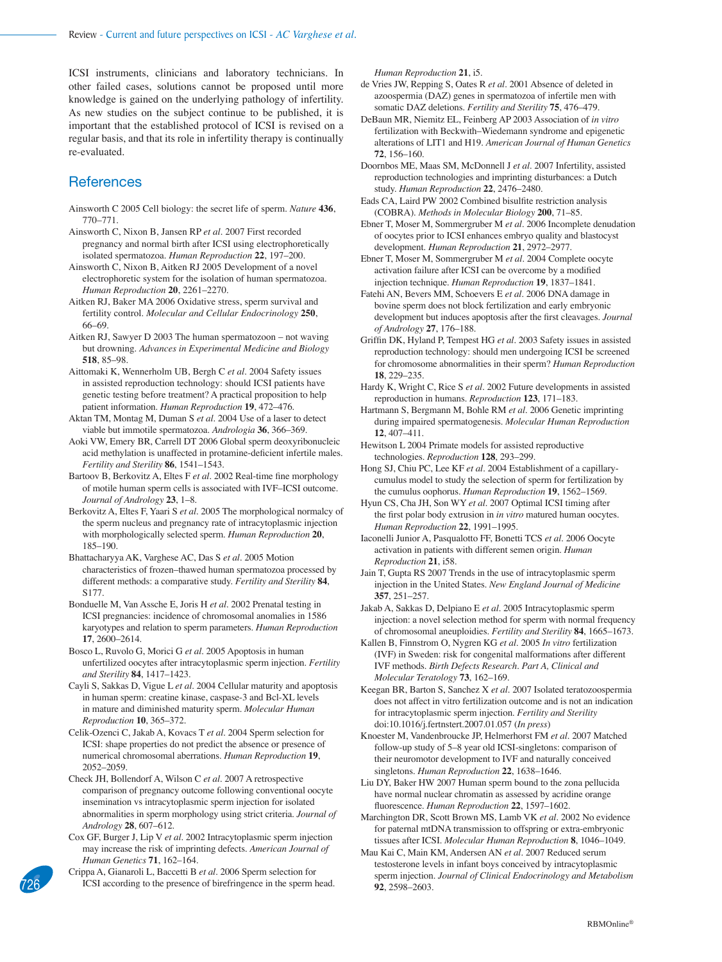ICSI instruments, clinicians and laboratory technicians. In other failed cases, solutions cannot be proposed until more knowledge is gained on the underlying pathology of infertility. As new studies on the subject continue to be published, it is important that the established protocol of ICSI is revised on a regular basis, and that its role in infertility therapy is continually re-evaluated.

#### **References**

- Ainsworth C 2005 Cell biology: the secret life of sperm. *Nature* **436**, 770–771.
- Ainsworth C, Nixon B, Jansen RP *et al*. 2007 First recorded pregnancy and normal birth after ICSI using electrophoretically isolated spermatozoa. *Human Reproduction* **22**, 197–200.
- Ainsworth C, Nixon B, Aitken RJ 2005 Development of a novel electrophoretic system for the isolation of human spermatozoa. *Human Reproduction* **20**, 2261–2270.
- Aitken RJ, Baker MA 2006 Oxidative stress, sperm survival and fertility control. *Molecular and Cellular Endocrinology* **250**, 66–69.
- Aitken RJ, Sawyer D 2003 The human spermatozoon not waving but drowning. *Advances in Experimental Medicine and Biology* **518**, 85–98.
- Aittomaki K, Wennerholm UB, Bergh C *et al*. 2004 Safety issues in assisted reproduction technology: should ICSI patients have genetic testing before treatment? A practical proposition to help patient information. *Human Reproduction* **19**, 472–476.
- Aktan TM, Montag M, Duman S *et al*. 2004 Use of a laser to detect viable but immotile spermatozoa. *Andrologia* **36**, 366–369.
- Aoki VW, Emery BR, Carrell DT 2006 Global sperm deoxyribonucleic acid methylation is unaffected in protamine-deficient infertile males. *Fertility and Sterility* **86**, 1541–1543.
- Bartoov B, Berkovitz A, Eltes F *et al*. 2002 Real-time fine morphology of motile human sperm cells is associated with IVF–ICSI outcome. *Journal of Andrology* **23**, 1–8.
- Berkovitz A, Eltes F, Yaari S *et al*. 2005 The morphological normalcy of the sperm nucleus and pregnancy rate of intracytoplasmic injection with morphologically selected sperm. *Human Reproduction* **20**, 185–190.
- Bhattacharyya AK, Varghese AC, Das S *et al*. 2005 Motion characteristics of frozen–thawed human spermatozoa processed by different methods: a comparative study. *Fertility and Sterility* **84**, S177.
- Bonduelle M, Van Assche E, Joris H *et al*. 2002 Prenatal testing in ICSI pregnancies: incidence of chromosomal anomalies in 1586 karyotypes and relation to sperm parameters. *Human Reproduction* **17**, 2600–2614.
- Bosco L, Ruvolo G, Morici G *et al*. 2005 Apoptosis in human unfertilized oocytes after intracytoplasmic sperm injection. *Fertility and Sterility* **84**, 1417–1423.
- Cayli S, Sakkas D, Vigue L *et al*. 2004 Cellular maturity and apoptosis in human sperm: creatine kinase, caspase-3 and Bcl-XL levels in mature and diminished maturity sperm. *Molecular Human Reproduction* **10**, 365–372.
- Celik-Ozenci C, Jakab A, Kovacs T *et al*. 2004 Sperm selection for ICSI: shape properties do not predict the absence or presence of numerical chromosomal aberrations. *Human Reproduction* **19**, 2052–2059.
- Check JH, Bollendorf A, Wilson C *et al*. 2007 A retrospective comparison of pregnancy outcome following conventional oocyte insemination vs intracytoplasmic sperm injection for isolated abnormalities in sperm morphology using strict criteria. *Journal of Andrology* **28**, 607–612.
- Cox GF, Burger J, Lip V *et al*. 2002 Intracytoplasmic sperm injection may increase the risk of imprinting defects. *American Journal of Human Genetics* **71**, 162–164.
- Crippa A, Gianaroli L, Baccetti B *et al*. 2006 Sperm selection for **126 ICSI** according to the presence of birefringence in the sperm head. **92**, 2598–2603.

*Human Reproduction* **21**, i5.

- de Vries JW, Repping S, Oates R *et al*. 2001 Absence of deleted in azoospermia (DAZ) genes in spermatozoa of infertile men with somatic DAZ deletions. *Fertility and Sterility* **75**, 476–479.
- DeBaun MR, Niemitz EL, Feinberg AP 2003 Association of *in vitro* fertilization with Beckwith–Wiedemann syndrome and epigenetic alterations of LIT1 and H19. *American Journal of Human Genetics* **72**, 156–160.
- Doornbos ME, Maas SM, McDonnell J *et al*. 2007 Infertility, assisted reproduction technologies and imprinting disturbances: a Dutch study. *Human Reproduction* **22**, 2476–2480.
- Eads CA, Laird PW 2002 Combined bisulfite restriction analysis (COBRA). *Methods in Molecular Biology* **200**, 71–85.
- Ebner T, Moser M, Sommergruber M *et al*. 2006 Incomplete denudation of oocytes prior to ICSI enhances embryo quality and blastocyst development. *Human Reproduction* **21**, 2972–2977.
- Ebner T, Moser M, Sommergruber M *et al*. 2004 Complete oocyte activation failure after ICSI can be overcome by a modified injection technique. *Human Reproduction* **19**, 1837–1841.
- Fatehi AN, Bevers MM, Schoevers E *et al*. 2006 DNA damage in bovine sperm does not block fertilization and early embryonic development but induces apoptosis after the first cleavages. *Journal of Andrology* **27**, 176–188.
- Griffin DK, Hyland P, Tempest HG *et al*. 2003 Safety issues in assisted reproduction technology: should men undergoing ICSI be screened for chromosome abnormalities in their sperm? *Human Reproduction* **18**, 229–235.
- Hardy K, Wright C, Rice S *et al*. 2002 Future developments in assisted reproduction in humans. *Reproduction* **123**, 171–183.
- Hartmann S, Bergmann M, Bohle RM *et al*. 2006 Genetic imprinting during impaired spermatogenesis. *Molecular Human Reproduction* **12**, 407–411.
- Hewitson L 2004 Primate models for assisted reproductive technologies. *Reproduction* **128**, 293–299.
- Hong SJ, Chiu PC, Lee KF *et al*. 2004 Establishment of a capillarycumulus model to study the selection of sperm for fertilization by the cumulus oophorus. *Human Reproduction* **19**, 1562–1569.
- Hyun CS, Cha JH, Son WY *et al*. 2007 Optimal ICSI timing after the first polar body extrusion in *in vitro* matured human oocytes. *Human Reproduction* **22**, 1991–1995.
- Iaconelli Junior A, Pasqualotto FF, Bonetti TCS *et al*. 2006 Oocyte activation in patients with different semen origin. *Human Reproduction* **21**, i58.
- Jain T, Gupta RS 2007 Trends in the use of intracytoplasmic sperm injection in the United States. *New England Journal of Medicine* **357**, 251–257.
- Jakab A, Sakkas D, Delpiano E *et al*. 2005 Intracytoplasmic sperm injection: a novel selection method for sperm with normal frequency of chromosomal aneuploidies. *Fertility and Sterility* **84**, 1665–1673.
- Kallen B, Finnstrom O, Nygren KG *et al*. 2005 *In vitro* fertilization (IVF) in Sweden: risk for congenital malformations after different IVF methods. *Birth Defects Research. Part A, Clinical and Molecular Teratology* **73**, 162–169.
- Keegan BR, Barton S, Sanchez X *et al*. 2007 Isolated teratozoospermia does not affect in vitro fertilization outcome and is not an indication for intracytoplasmic sperm injection. *Fertility and Sterility*  doi:10.1016/j.fertnstert.2007.01.057 (*In press*)
- Knoester M, Vandenbroucke JP, Helmerhorst FM *et al*. 2007 Matched follow-up study of 5–8 year old ICSI-singletons: comparison of their neuromotor development to IVF and naturally conceived singletons. *Human Reproduction* **22**, 1638–1646.
- Liu DY, Baker HW 2007 Human sperm bound to the zona pellucida have normal nuclear chromatin as assessed by acridine orange fluorescence. *Human Reproduction* **22**, 1597–1602.
- Marchington DR, Scott Brown MS, Lamb VK *et al*. 2002 No evidence for paternal mtDNA transmission to offspring or extra-embryonic tissues after ICSI. *Molecular Human Reproduction* **8**, 1046–1049.
- Mau Kai C, Main KM, Andersen AN *et al*. 2007 Reduced serum testosterone levels in infant boys conceived by intracytoplasmic sperm injection. *Journal of Clinical Endocrinology and Metabolism*